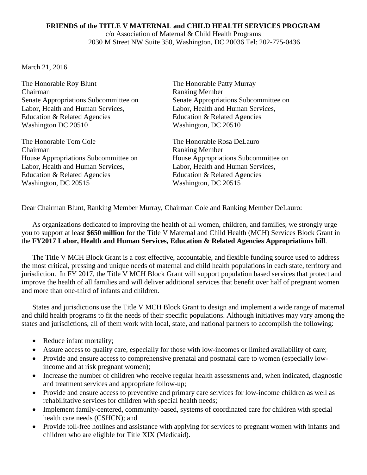## **FRIENDS of the TITLE V MATERNAL and CHILD HEALTH SERVICES PROGRAM** c/o Association of Maternal & Child Health Programs 2030 M Street NW Suite 350, Washington, DC 20036 Tel: 202-775-0436

March 21, 2016

The Honorable Roy Blunt The Honorable Patty Murray Chairman Ranking Member Senate Appropriations Subcommittee on Senate Appropriations Subcommittee on Labor, Health and Human Services, Labor, Health and Human Services, Education & Related Agencies Education & Related Agencies Washington DC 20510 Washington, DC 20510

The Honorable Tom Cole The Honorable Rosa DeLauro Chairman Ranking Member Labor, Health and Human Services, Labor, Health and Human Services, Education & Related Agencies Education & Related Agencies Washington, DC 20515 Washington, DC 20515

House Appropriations Subcommittee on House Appropriations Subcommittee on

Dear Chairman Blunt, Ranking Member Murray, Chairman Cole and Ranking Member DeLauro:

As organizations dedicated to improving the health of all women, children, and families, we strongly urge you to support at least **\$650 million** for the Title V Maternal and Child Health (MCH) Services Block Grant in the **FY2017 Labor, Health and Human Services, Education & Related Agencies Appropriations bill**.

The Title V MCH Block Grant is a cost effective, accountable, and flexible funding source used to address the most critical, pressing and unique needs of maternal and child health populations in each state, territory and jurisdiction. In FY 2017, the Title V MCH Block Grant will support population based services that protect and improve the health of all families and will deliver additional services that benefit over half of pregnant women and more than one-third of infants and children.

States and jurisdictions use the Title V MCH Block Grant to design and implement a wide range of maternal and child health programs to fit the needs of their specific populations. Although initiatives may vary among the states and jurisdictions, all of them work with local, state, and national partners to accomplish the following:

- Reduce infant mortality;
- Assure access to quality care, especially for those with low-incomes or limited availability of care;
- Provide and ensure access to comprehensive prenatal and postnatal care to women (especially lowincome and at risk pregnant women);
- Increase the number of children who receive regular health assessments and, when indicated, diagnostic and treatment services and appropriate follow-up;
- Provide and ensure access to preventive and primary care services for low-income children as well as rehabilitative services for children with special health needs;
- Implement family-centered, community-based, systems of coordinated care for children with special health care needs (CSHCN); and
- Provide toll-free hotlines and assistance with applying for services to pregnant women with infants and children who are eligible for Title XIX (Medicaid).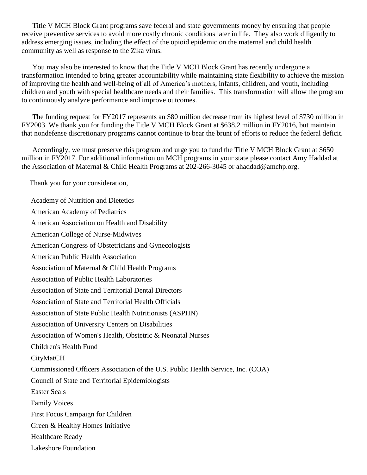Title V MCH Block Grant programs save federal and state governments money by ensuring that people receive preventive services to avoid more costly chronic conditions later in life. They also work diligently to address emerging issues, including the effect of the opioid epidemic on the maternal and child health community as well as response to the Zika virus.

You may also be interested to know that the Title V MCH Block Grant has recently undergone a transformation intended to bring greater accountability while maintaining state flexibility to achieve the mission of improving the health and well-being of all of America's mothers, infants, children, and youth, including children and youth with special healthcare needs and their families. This transformation will allow the program to continuously analyze performance and improve outcomes.

The funding request for FY2017 represents an \$80 million decrease from its highest level of \$730 million in FY2003. We thank you for funding the Title V MCH Block Grant at \$638.2 million in FY2016, but maintain that nondefense discretionary programs cannot continue to bear the brunt of efforts to reduce the federal deficit.

Accordingly, we must preserve this program and urge you to fund the Title V MCH Block Grant at \$650 million in FY2017. For additional information on MCH programs in your state please contact Amy Haddad at the Association of Maternal & Child Health Programs at 202-266-3045 or ahaddad@amchp.org.

Thank you for your consideration,

Academy of Nutrition and Dietetics American Academy of Pediatrics American Association on Health and Disability American College of Nurse-Midwives American Congress of Obstetricians and Gynecologists American Public Health Association Association of Maternal & Child Health Programs Association of Public Health Laboratories Association of State and Territorial Dental Directors Association of State and Territorial Health Officials Association of State Public Health Nutritionists (ASPHN) Association of University Centers on Disabilities Association of Women's Health, Obstetric & Neonatal Nurses Children's Health Fund **CityMatCH** Commissioned Officers Association of the U.S. Public Health Service, Inc. (COA) Council of State and Territorial Epidemiologists Easter Seals Family Voices First Focus Campaign for Children Green & Healthy Homes Initiative Healthcare Ready Lakeshore Foundation